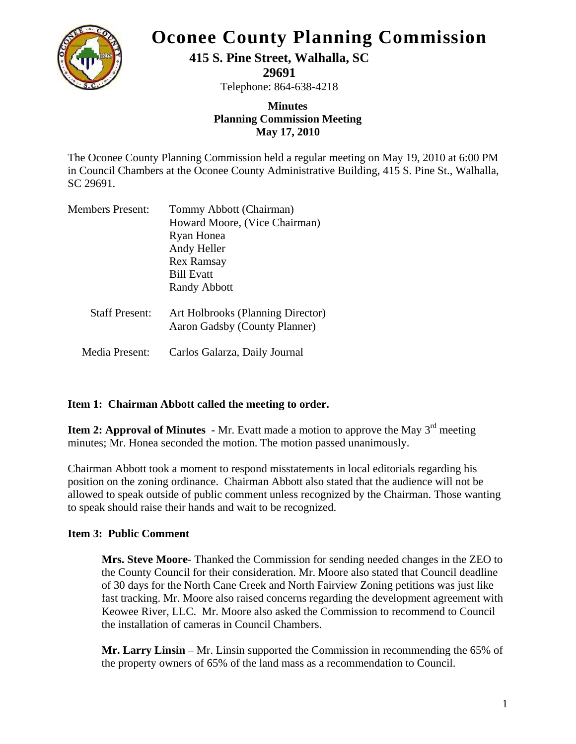

# **Oconee County Planning Commission**

# **415 S. Pine Street, Walhalla, SC**

**29691** 

Telephone: 864-638-4218

## **Minutes Planning Commission Meeting May 17, 2010**

The Oconee County Planning Commission held a regular meeting on May 19, 2010 at 6:00 PM in Council Chambers at the Oconee County Administrative Building, 415 S. Pine St., Walhalla, SC 29691.

| <b>Members Present:</b> | Tommy Abbott (Chairman)                                            |
|-------------------------|--------------------------------------------------------------------|
|                         | Howard Moore, (Vice Chairman)                                      |
|                         | Ryan Honea                                                         |
|                         | Andy Heller                                                        |
|                         | <b>Rex Ramsay</b>                                                  |
|                         | <b>Bill Evatt</b>                                                  |
|                         | <b>Randy Abbott</b>                                                |
| <b>Staff Present:</b>   | Art Holbrooks (Planning Director)<br>Aaron Gadsby (County Planner) |
| Media Present:          | Carlos Galarza, Daily Journal                                      |

### **Item 1: Chairman Abbott called the meeting to order.**

**Item 2: Approval of Minutes - Mr.** Evatt made a motion to approve the May 3<sup>rd</sup> meeting minutes; Mr. Honea seconded the motion. The motion passed unanimously.

Chairman Abbott took a moment to respond misstatements in local editorials regarding his position on the zoning ordinance. Chairman Abbott also stated that the audience will not be allowed to speak outside of public comment unless recognized by the Chairman. Those wanting to speak should raise their hands and wait to be recognized.

### **Item 3: Public Comment**

**Mrs. Steve Moore**- Thanked the Commission for sending needed changes in the ZEO to the County Council for their consideration. Mr. Moore also stated that Council deadline of 30 days for the North Cane Creek and North Fairview Zoning petitions was just like fast tracking. Mr. Moore also raised concerns regarding the development agreement with Keowee River, LLC. Mr. Moore also asked the Commission to recommend to Council the installation of cameras in Council Chambers.

**Mr. Larry Linsin** – Mr. Linsin supported the Commission in recommending the 65% of the property owners of 65% of the land mass as a recommendation to Council.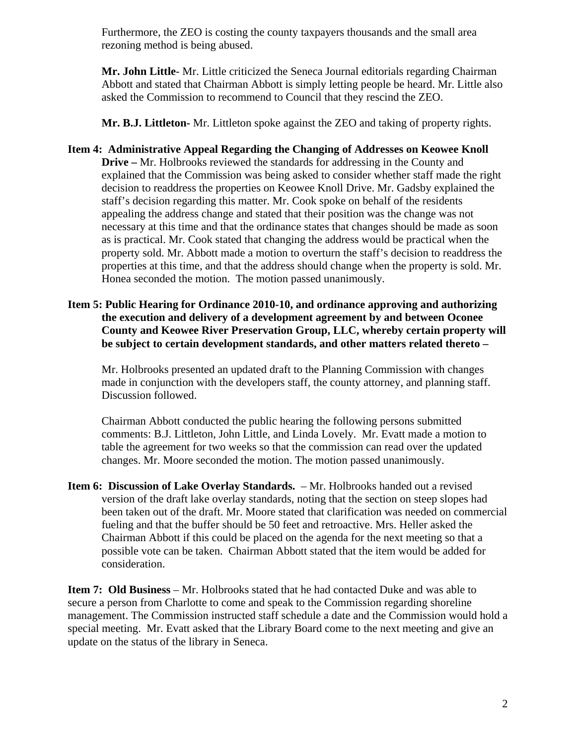Furthermore, the ZEO is costing the county taxpayers thousands and the small area rezoning method is being abused.

**Mr. John Little**- Mr. Little criticized the Seneca Journal editorials regarding Chairman Abbott and stated that Chairman Abbott is simply letting people be heard. Mr. Little also asked the Commission to recommend to Council that they rescind the ZEO.

**Mr. B.J. Littleton-** Mr. Littleton spoke against the ZEO and taking of property rights.

- **Item 4: Administrative Appeal Regarding the Changing of Addresses on Keowee Knoll Drive –** Mr. Holbrooks reviewed the standards for addressing in the County and explained that the Commission was being asked to consider whether staff made the right decision to readdress the properties on Keowee Knoll Drive. Mr. Gadsby explained the staff's decision regarding this matter. Mr. Cook spoke on behalf of the residents appealing the address change and stated that their position was the change was not necessary at this time and that the ordinance states that changes should be made as soon as is practical. Mr. Cook stated that changing the address would be practical when the property sold. Mr. Abbott made a motion to overturn the staff's decision to readdress the properties at this time, and that the address should change when the property is sold. Mr. Honea seconded the motion. The motion passed unanimously.
- **Item 5: Public Hearing for Ordinance 2010-10, and ordinance approving and authorizing the execution and delivery of a development agreement by and between Oconee County and Keowee River Preservation Group, LLC, whereby certain property will be subject to certain development standards, and other matters related thereto –**

Mr. Holbrooks presented an updated draft to the Planning Commission with changes made in conjunction with the developers staff, the county attorney, and planning staff. Discussion followed.

Chairman Abbott conducted the public hearing the following persons submitted comments: B.J. Littleton, John Little, and Linda Lovely. Mr. Evatt made a motion to table the agreement for two weeks so that the commission can read over the updated changes. Mr. Moore seconded the motion. The motion passed unanimously.

**Item 6: Discussion of Lake Overlay Standards.** – Mr. Holbrooks handed out a revised version of the draft lake overlay standards, noting that the section on steep slopes had been taken out of the draft. Mr. Moore stated that clarification was needed on commercial fueling and that the buffer should be 50 feet and retroactive. Mrs. Heller asked the Chairman Abbott if this could be placed on the agenda for the next meeting so that a possible vote can be taken. Chairman Abbott stated that the item would be added for consideration.

**Item 7: Old Business** – Mr. Holbrooks stated that he had contacted Duke and was able to secure a person from Charlotte to come and speak to the Commission regarding shoreline management. The Commission instructed staff schedule a date and the Commission would hold a special meeting. Mr. Evatt asked that the Library Board come to the next meeting and give an update on the status of the library in Seneca.